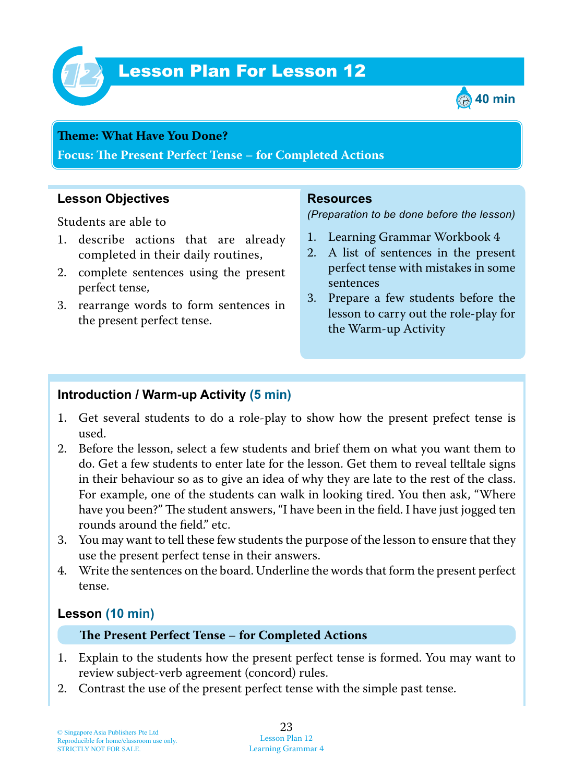

# Lesson Plan For Lesson 12 *12*



#### **Teme : What Have You Done?**

**Focus: Te Present Perfect Tense – for Completed Actions**

## **Lesson Objectives**

Students are able to

- 1. describe actions that are already completed in their daily routines,
- 2. complete sentences using the present perfect tense,
- 3. rearrange words to form sentences in the present perfect tense.

#### **Resources**

*(Preparation to be done before the lesson)*

- 1. Learning Grammar Workbook 4
- 2. A list of sentences in the present perfect tense with mistakes in some sentences
- 3. Prepare a few students before the lesson to carry out the role-play for the Warm-up Activity

## **Introduction / Warm-up Activity (5 min)**

- 1. Get several students to do a role-play to show how the present prefect tense is used.
- 2. Before the lesson, select a few students and brief them on what you want them to do. Get a few students to enter late for the lesson. Get them to reveal telltale signs in their behaviour so as to give an idea of why they are late to the rest of the class. For example, one of the students can walk in looking tired. You then ask, "Where have you been?" The student answers, "I have been in the field. I have just jogged ten rounds around the field." etc.
- 3. You may want to tell these few students the purpose of the lesson to ensure that they use the present perfect tense in their answers.
- 4. Write the sentences on the board. Underline the words that form the present perfect tense.

## **Lesson (10 min)**

#### **Te Present Perfect Tense** – **for Completed Actions**

- 1. Explain to the students how the present perfect tense is formed. You may want to review subject-verb agreement (concord) rules.
- 2. Contrast the use of the present perfect tense with the simple past tense.